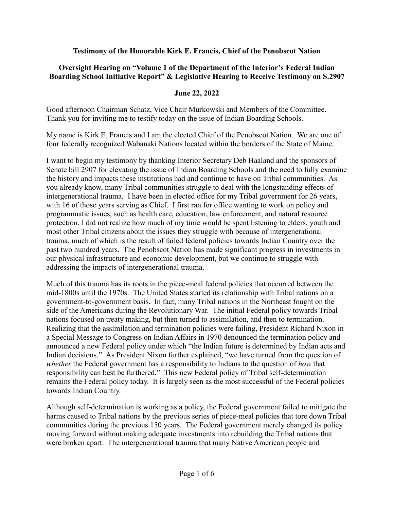#### **Testimony of the Honorable Kirk E. Francis, Chief of the Penobscot Nation**

# **Oversight Hearing on "Volume 1 of the Department of the Interior's Federal Indian Boarding School Initiative Report" & Legislative Hearing to Receive Testimony on S.2907**

#### **June 22, 2022**

Good afternoon Chairman Schatz, Vice Chair Murkowski and Members of the Committee. Thank you for inviting me to testify today on the issue of Indian Boarding Schools.

My name is Kirk E. Francis and I am the elected Chief of the Penobscot Nation. We are one of four federally recognized Wabanaki Nations located within the borders of the State of Maine.

I want to begin my testimony by thanking Interior Secretary Deb Haaland and the sponsors of Senate bill 2907 for elevating the issue of Indian Boarding Schools and the need to fully examine the history and impacts these institutions had and continue to have on Tribal communities. As you already know, many Tribal communities struggle to deal with the longstanding effects of intergenerational trauma. I have been in elected office for my Tribal government for 26 years, with 16 of those years serving as Chief. I first ran for office wanting to work on policy and programmatic issues, such as health care, education, law enforcement, and natural resource protection. I did not realize how much of my time would be spent listening to elders, youth and most other Tribal citizens about the issues they struggle with because of intergenerational trauma, much of which is the result of failed federal policies towards Indian Country over the past two hundred years. The Penobscot Nation has made significant progress in investments in our physical infrastructure and economic development, but we continue to struggle with addressing the impacts of intergenerational trauma.

Much of this trauma has its roots in the piece-meal federal policies that occurred between the mid-1800s until the 1970s. The United States started its relationship with Tribal nations on a government-to-government basis. In fact, many Tribal nations in the Northeast fought on the side of the Americans during the Revolutionary War. The initial Federal policy towards Tribal nations focused on treaty making, but then turned to assimilation, and then to termination. Realizing that the assimilation and termination policies were failing, President Richard Nixon in a Special Message to Congress on Indian Affairs in 1970 denounced the termination policy and announced a new Federal policy under which "the Indian future is determined by Indian acts and Indian decisions." As President Nixon further explained, "we have turned from the question of *whether* the Federal government has a responsibility to Indians to the question of *how* that responsibility can best be furthered." This new Federal policy of Tribal self-determination remains the Federal policy today. It is largely seen as the most successful of the Federal policies towards Indian Country.

Although self-determination is working as a policy, the Federal government failed to mitigate the harms caused to Tribal nations by the previous series of piece-meal policies that tore down Tribal communities during the previous 150 years. The Federal government merely changed its policy moving forward without making adequate investments into rebuilding the Tribal nations that were broken apart. The intergenerational trauma that many Native American people and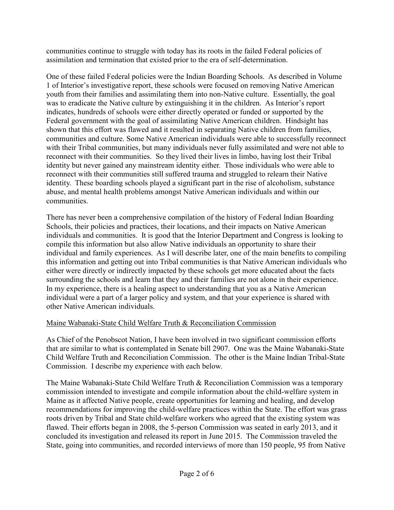communities continue to struggle with today has its roots in the failed Federal policies of assimilation and termination that existed prior to the era of self-determination.

One of these failed Federal policies were the Indian Boarding Schools. As described in Volume 1 of Interior's investigative report, these schools were focused on removing Native American youth from their families and assimilating them into non-Native culture. Essentially, the goal was to eradicate the Native culture by extinguishing it in the children. As Interior's report indicates, hundreds of schools were either directly operated or funded or supported by the Federal government with the goal of assimilating Native American children. Hindsight has shown that this effort was flawed and it resulted in separating Native children from families, communities and culture. Some Native American individuals were able to successfully reconnect with their Tribal communities, but many individuals never fully assimilated and were not able to reconnect with their communities. So they lived their lives in limbo, having lost their Tribal identity but never gained any mainstream identity either. Those individuals who were able to reconnect with their communities still suffered trauma and struggled to relearn their Native identity. These boarding schools played a significant part in the rise of alcoholism, substance abuse, and mental health problems amongst Native American individuals and within our communities.

There has never been a comprehensive compilation of the history of Federal Indian Boarding Schools, their policies and practices, their locations, and their impacts on Native American individuals and communities. It is good that the Interior Department and Congress is looking to compile this information but also allow Native individuals an opportunity to share their individual and family experiences. As I will describe later, one of the main benefits to compiling this information and getting out into Tribal communities is that Native American individuals who either were directly or indirectly impacted by these schools get more educated about the facts surrounding the schools and learn that they and their families are not alone in their experience. In my experience, there is a healing aspect to understanding that you as a Native American individual were a part of a larger policy and system, and that your experience is shared with other Native American individuals.

# Maine Wabanaki-State Child Welfare Truth & Reconciliation Commission

As Chief of the Penobscot Nation, I have been involved in two significant commission efforts that are similar to what is contemplated in Senate bill 2907. One was the Maine Wabanaki-State Child Welfare Truth and Reconciliation Commission. The other is the Maine Indian Tribal-State Commission. I describe my experience with each below.

The Maine Wabanaki-State Child Welfare Truth & Reconciliation Commission was a temporary commission intended to investigate and compile information about the child-welfare system in Maine as it affected Native people, create opportunities for learning and healing, and develop recommendations for improving the child-welfare practices within the State. The effort was grass roots driven by Tribal and State child-welfare workers who agreed that the existing system was flawed. Their efforts began in 2008, the 5-person Commission was seated in early 2013, and it concluded its investigation and released its report in June 2015. The Commission traveled the State, going into communities, and recorded interviews of more than 150 people, 95 from Native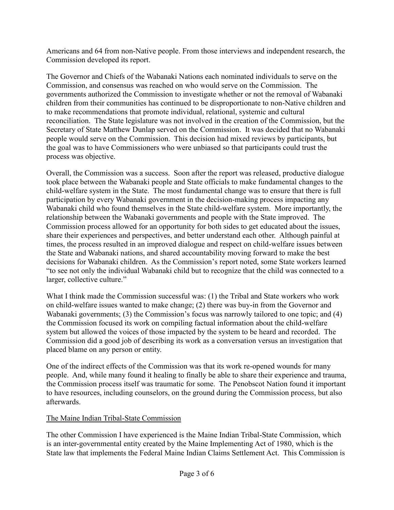Americans and 64 from non-Native people. From those interviews and independent research, the Commission developed its report.

The Governor and Chiefs of the Wabanaki Nations each nominated individuals to serve on the Commission, and consensus was reached on who would serve on the Commission. The governments authorized the Commission to investigate whether or not the removal of Wabanaki children from their communities has continued to be disproportionate to non-Native children and to make recommendations that promote individual, relational, systemic and cultural reconciliation. The State legislature was not involved in the creation of the Commission, but the Secretary of State Matthew Dunlap served on the Commission. It was decided that no Wabanaki people would serve on the Commission. This decision had mixed reviews by participants, but the goal was to have Commissioners who were unbiased so that participants could trust the process was objective.

Overall, the Commission was a success. Soon after the report was released, productive dialogue took place between the Wabanaki people and State officials to make fundamental changes to the child-welfare system in the State. The most fundamental change was to ensure that there is full participation by every Wabanaki government in the decision-making process impacting any Wabanaki child who found themselves in the State child-welfare system. More importantly, the relationship between the Wabanaki governments and people with the State improved. The Commission process allowed for an opportunity for both sides to get educated about the issues, share their experiences and perspectives, and better understand each other. Although painful at times, the process resulted in an improved dialogue and respect on child-welfare issues between the State and Wabanaki nations, and shared accountability moving forward to make the best decisions for Wabanaki children. As the Commission's report noted, some State workers learned "to see not only the individual Wabanaki child but to recognize that the child was connected to a larger, collective culture."

What I think made the Commission successful was: (1) the Tribal and State workers who work on child-welfare issues wanted to make change; (2) there was buy-in from the Governor and Wabanaki governments; (3) the Commission's focus was narrowly tailored to one topic; and (4) the Commission focused its work on compiling factual information about the child-welfare system but allowed the voices of those impacted by the system to be heard and recorded. The Commission did a good job of describing its work as a conversation versus an investigation that placed blame on any person or entity.

One of the indirect effects of the Commission was that its work re-opened wounds for many people. And, while many found it healing to finally be able to share their experience and trauma, the Commission process itself was traumatic for some. The Penobscot Nation found it important to have resources, including counselors, on the ground during the Commission process, but also afterwards.

#### The Maine Indian Tribal-State Commission

The other Commission I have experienced is the Maine Indian Tribal-State Commission, which is an inter-governmental entity created by the Maine Implementing Act of 1980, which is the State law that implements the Federal Maine Indian Claims Settlement Act. This Commission is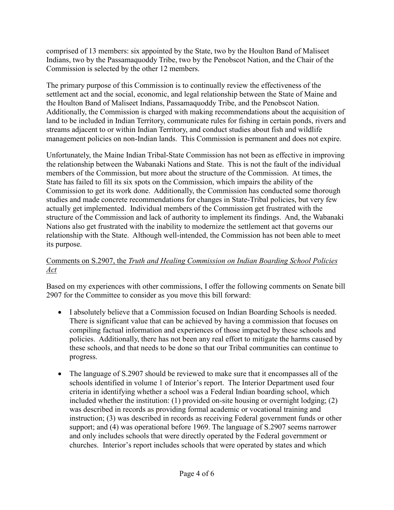comprised of 13 members: six appointed by the State, two by the Houlton Band of Maliseet Indians, two by the Passamaquoddy Tribe, two by the Penobscot Nation, and the Chair of the Commission is selected by the other 12 members.

The primary purpose of this Commission is to continually review the effectiveness of the settlement act and the social, economic, and legal relationship between the State of Maine and the Houlton Band of Maliseet Indians, Passamaquoddy Tribe, and the Penobscot Nation. Additionally, the Commission is charged with making recommendations about the acquisition of land to be included in Indian Territory, communicate rules for fishing in certain ponds, rivers and streams adjacent to or within Indian Territory, and conduct studies about fish and wildlife management policies on non-Indian lands. This Commission is permanent and does not expire.

Unfortunately, the Maine Indian Tribal-State Commission has not been as effective in improving the relationship between the Wabanaki Nations and State. This is not the fault of the individual members of the Commission, but more about the structure of the Commission. At times, the State has failed to fill its six spots on the Commission, which impairs the ability of the Commission to get its work done. Additionally, the Commission has conducted some thorough studies and made concrete recommendations for changes in State-Tribal policies, but very few actually get implemented. Individual members of the Commission get frustrated with the structure of the Commission and lack of authority to implement its findings. And, the Wabanaki Nations also get frustrated with the inability to modernize the settlement act that governs our relationship with the State. Although well-intended, the Commission has not been able to meet its purpose.

# Comments on S.2907, the *Truth and Healing Commission on Indian Boarding School Policies Act*

Based on my experiences with other commissions, I offer the following comments on Senate bill 2907 for the Committee to consider as you move this bill forward:

- I absolutely believe that a Commission focused on Indian Boarding Schools is needed. There is significant value that can be achieved by having a commission that focuses on compiling factual information and experiences of those impacted by these schools and policies. Additionally, there has not been any real effort to mitigate the harms caused by these schools, and that needs to be done so that our Tribal communities can continue to progress.
- The language of S.2907 should be reviewed to make sure that it encompasses all of the schools identified in volume 1 of Interior's report. The Interior Department used four criteria in identifying whether a school was a Federal Indian boarding school, which included whether the institution: (1) provided on-site housing or overnight lodging; (2) was described in records as providing formal academic or vocational training and instruction; (3) was described in records as receiving Federal government funds or other support; and (4) was operational before 1969. The language of S.2907 seems narrower and only includes schools that were directly operated by the Federal government or churches. Interior's report includes schools that were operated by states and which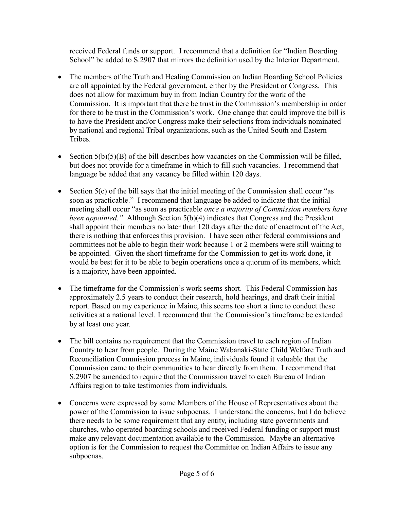received Federal funds or support. I recommend that a definition for "Indian Boarding School" be added to S.2907 that mirrors the definition used by the Interior Department.

- The members of the Truth and Healing Commission on Indian Boarding School Policies are all appointed by the Federal government, either by the President or Congress. This does not allow for maximum buy in from Indian Country for the work of the Commission. It is important that there be trust in the Commission's membership in order for there to be trust in the Commission's work. One change that could improve the bill is to have the President and/or Congress make their selections from individuals nominated by national and regional Tribal organizations, such as the United South and Eastern Tribes.
- Section  $5(b)(5)(B)$  of the bill describes how vacancies on the Commission will be filled, but does not provide for a timeframe in which to fill such vacancies. I recommend that language be added that any vacancy be filled within 120 days.
- Section  $5(c)$  of the bill says that the initial meeting of the Commission shall occur "as soon as practicable." I recommend that language be added to indicate that the initial meeting shall occur "as soon as practicable *once a majority of Commission members have been appointed.*" Although Section 5(b)(4) indicates that Congress and the President shall appoint their members no later than 120 days after the date of enactment of the Act, there is nothing that enforces this provision. I have seen other federal commissions and committees not be able to begin their work because 1 or 2 members were still waiting to be appointed. Given the short timeframe for the Commission to get its work done, it would be best for it to be able to begin operations once a quorum of its members, which is a majority, have been appointed.
- The timeframe for the Commission's work seems short. This Federal Commission has approximately 2.5 years to conduct their research, hold hearings, and draft their initial report. Based on my experience in Maine, this seems too short a time to conduct these activities at a national level. I recommend that the Commission's timeframe be extended by at least one year.
- The bill contains no requirement that the Commission travel to each region of Indian Country to hear from people. During the Maine Wabanaki-State Child Welfare Truth and Reconciliation Commission process in Maine, individuals found it valuable that the Commission came to their communities to hear directly from them. I recommend that S.2907 be amended to require that the Commission travel to each Bureau of Indian Affairs region to take testimonies from individuals.
- Concerns were expressed by some Members of the House of Representatives about the power of the Commission to issue subpoenas. I understand the concerns, but I do believe there needs to be some requirement that any entity, including state governments and churches, who operated boarding schools and received Federal funding or support must make any relevant documentation available to the Commission. Maybe an alternative option is for the Commission to request the Committee on Indian Affairs to issue any subpoenas.